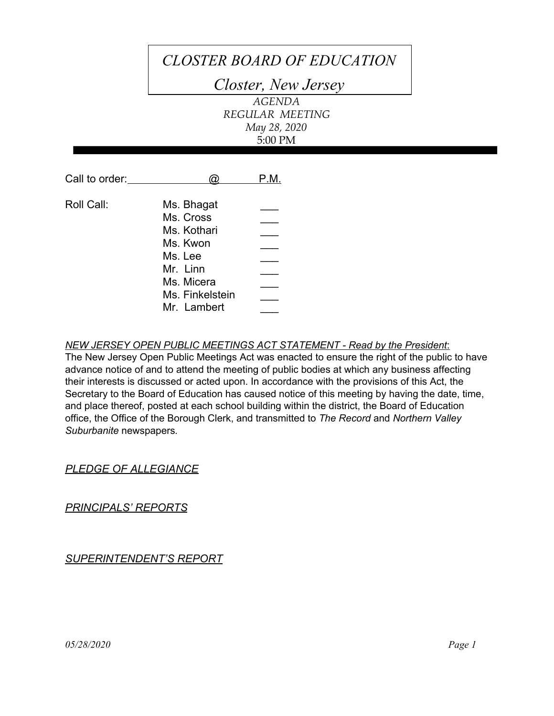# *CLOSTER BOARD OF EDUCATION*

*Closter, New Jersey*

*AGENDA REGULAR MEETING May 28, 2020* 5:00 PM

| Call to order: |                                                                                                                           | P.M. |
|----------------|---------------------------------------------------------------------------------------------------------------------------|------|
| Roll Call:     | Ms. Bhagat<br>Ms. Cross<br>Ms. Kothari<br>Ms. Kwon<br>Ms. Lee<br>Mr. Linn<br>Ms. Micera<br>Ms. Finkelstein<br>Mr. Lambert |      |

*NEW JERSEY OPEN PUBLIC MEETINGS ACT STATEMENT - Read by the President*:

The New Jersey Open Public Meetings Act was enacted to ensure the right of the public to have advance notice of and to attend the meeting of public bodies at which any business affecting their interests is discussed or acted upon. In accordance with the provisions of this Act, the Secretary to the Board of Education has caused notice of this meeting by having the date, time, and place thereof, posted at each school building within the district, the Board of Education office, the Office of the Borough Clerk, and transmitted to *The Record* and *Northern Valley Suburbanite* newspapers*.*

## *PLEDGE OF ALLEGIANCE*

*PRINCIPALS' REPORTS*

*SUPERINTENDENT'S REPORT*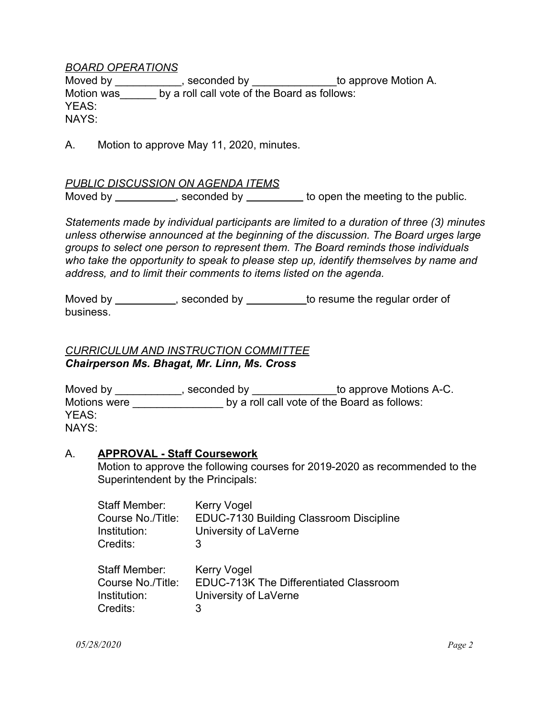#### *BOARD OPERATIONS*

Moved by \_\_\_\_\_\_\_\_\_\_\_, seconded by \_\_\_\_\_\_\_\_\_\_\_\_\_\_\_to approve Motion A. Motion was by a roll call vote of the Board as follows: YEAS: NAYS:

A. Motion to approve May 11, 2020, minutes.

#### *PUBLIC DISCUSSION ON AGENDA ITEMS*

Moved by \_\_\_\_\_\_\_\_\_\_\_, seconded by \_\_\_\_\_\_\_\_ to open the meeting to the public.

*Statements made by individual participants are limited to a duration of three (3) minutes unless otherwise announced at the beginning of the discussion. The Board urges large groups to select one person to represent them. The Board reminds those individuals who take the opportunity to speak to please step up, identify themselves by name and address, and to limit their comments to items listed on the agenda.*

Moved by \_\_\_\_\_\_\_\_\_\_\_, seconded by \_\_\_\_\_\_\_\_\_\_ to resume the regular order of business.

## *CURRICULUM AND INSTRUCTION COMMITTEE Chairperson Ms. Bhagat, Mr. Linn, Ms. Cross*

| Moved by     | seconded by | to approve Motions A-C.                      |
|--------------|-------------|----------------------------------------------|
| Motions were |             | by a roll call vote of the Board as follows: |
| YEAS:        |             |                                              |
| NAYS:        |             |                                              |

#### A. **APPROVAL - Staff Coursework**

Motion to approve the following courses for 2019-2020 as recommended to the Superintendent by the Principals:

| Staff Member:     | <b>Kerry Vogel</b>                      |
|-------------------|-----------------------------------------|
| Course No./Title: | EDUC-7130 Building Classroom Discipline |
| Institution:      | University of LaVerne                   |
| Credits:          | 3                                       |
| Staff Member:     | Kerry Vogel                             |
| Course No./Title: | EDUC-713K The Differentiated Classroom  |
| Institution:      | University of LaVerne                   |
| Credits:          | 3                                       |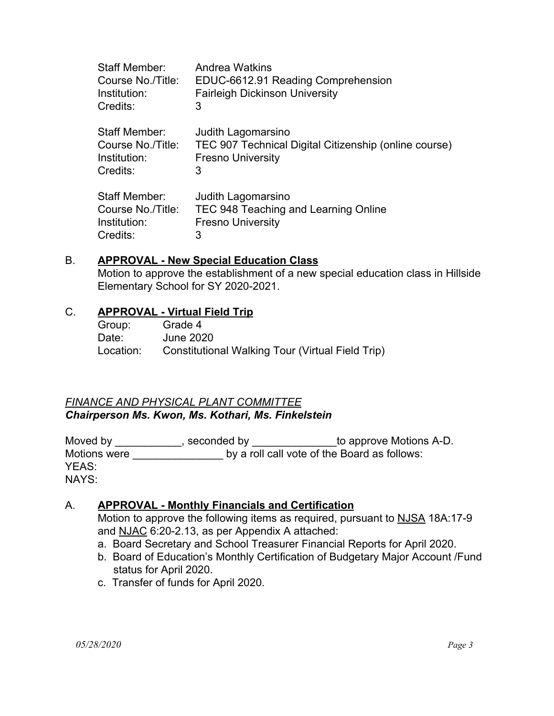| Staff Member:     | Andrea Watkins                                        |
|-------------------|-------------------------------------------------------|
| Course No./Title: | EDUC-6612.91 Reading Comprehension                    |
| Institution:      | <b>Fairleigh Dickinson University</b>                 |
| Credits:          | 3                                                     |
| Staff Member:     | Judith Lagomarsino                                    |
| Course No./Title: | TEC 907 Technical Digital Citizenship (online course) |
| Institution:      | <b>Fresno University</b>                              |
| Credits:          | 3                                                     |
| Staff Member:     | Judith Lagomarsino                                    |
| Course No./Title: | TEC 948 Teaching and Learning Online                  |
| Institution:      | <b>Fresno University</b>                              |
| Credits:          | 3                                                     |

#### B. **APPROVAL - New Special Education Class**

Motion to approve the establishment of a new special education class in Hillside Elementary School for SY 2020-2021.

#### C. **APPROVAL - Virtual Field Trip**

| Group:    | Grade 4                                          |
|-----------|--------------------------------------------------|
| Date:     | June 2020                                        |
| Location: | Constitutional Walking Tour (Virtual Field Trip) |

## *FINANCE AND PHYSICAL PLANT COMMITTEE Chairperson Ms. Kwon, Ms. Kothari, Ms. Finkelstein*

Moved by \_\_\_\_\_\_\_\_\_\_\_\_, seconded by \_\_\_\_\_\_\_\_\_\_\_\_\_\_\_to approve Motions A-D. Motions were **Later and School** by a roll call vote of the Board as follows: YEAS: NAYS:

#### A. **APPROVAL - Monthly Financials and Certification**

Motion to approve the following items as required, pursuant to NJSA 18A:17-9 and NJAC 6:20-2.13, as per Appendix A attached:

- a. Board Secretary and School Treasurer Financial Reports for April 2020.
- b. Board of Education's Monthly Certification of Budgetary Major Account /Fund status for April 2020.
- c. Transfer of funds for April 2020.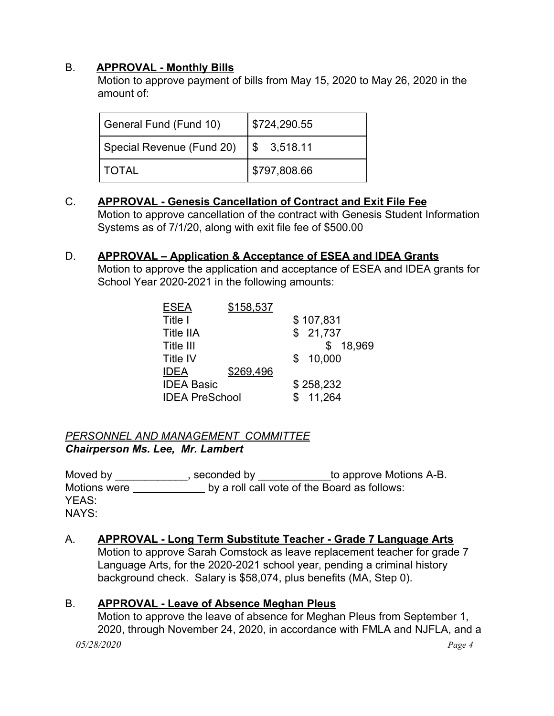## B. **APPROVAL - Monthly Bills**

Motion to approve payment of bills from May 15, 2020 to May 26, 2020 in the amount of:

| General Fund (Fund 10)    | \$724,290.55 |
|---------------------------|--------------|
| Special Revenue (Fund 20) | \$3,518.11   |
| l TOTAL                   | \$797,808.66 |

### C. **APPROVAL - Genesis Cancellation of Contract and Exit File Fee** Motion to approve cancellation of the contract with Genesis Student Information Systems as of 7/1/20, along with exit file fee of \$500.00

# D. **APPROVAL – Application & Acceptance of ESEA and IDEA Grants**

Motion to approve the application and acceptance of ESEA and IDEA grants for School Year 2020-2021 in the following amounts:

| ESEA                  | \$158,537 |           |          |
|-----------------------|-----------|-----------|----------|
| Title I               |           | \$107,831 |          |
| <b>Title IIA</b>      |           | \$21,737  |          |
| Title III             |           |           | \$18,969 |
| <b>Title IV</b>       |           | \$10,000  |          |
| <b>IDEA</b>           | \$269,496 |           |          |
| <b>IDEA Basic</b>     |           | \$258,232 |          |
| <b>IDEA PreSchool</b> |           | \$11,264  |          |
|                       |           |           |          |

### *PERSONNEL AND MANAGEMENT COMMITTEE Chairperson Ms. Lee, Mr. Lambert*

Moved by \_\_\_\_\_\_\_\_\_\_\_\_\_, seconded by \_\_\_\_\_\_\_\_\_\_\_\_\_to approve Motions A-B. Motions were **by a roll call vote of the Board as follows:** YEAS: NAYS:

# A. **APPROVAL - Long Term Substitute Teacher - Grade 7 Language Arts**

Motion to approve Sarah Comstock as leave replacement teacher for grade 7 Language Arts, for the 2020-2021 school year, pending a criminal history background check. Salary is \$58,074, plus benefits (MA, Step 0).

## B. **APPROVAL - Leave of Absence Meghan Pleus**

Motion to approve the leave of absence for Meghan Pleus from September 1, 2020, through November 24, 2020, in accordance with FMLA and NJFLA, and a *05/28/2020 Page 4*